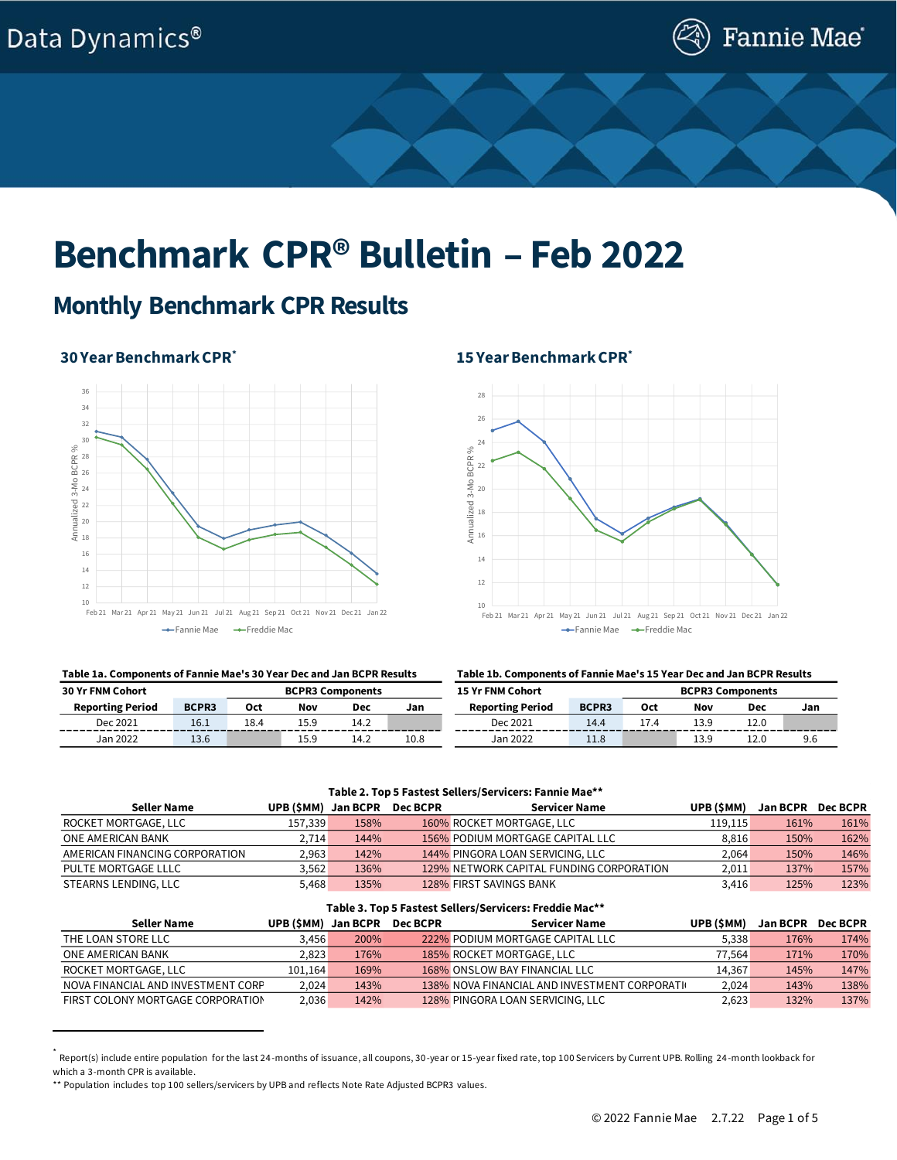

# **Benchmark CPR® Bulletin – Feb 2022**

### **Monthly Benchmark CPR Results**

### **30 Year Benchmark CPR\***



#### **Table 1a. Components of Fannie Mae's 30 Year Dec and Jan BCPR Results Table 1b. Components of Fannie Mae's 15 Year Dec and Jan BCPR Results**

## **15 Year Benchmark CPR\***



| <b>30 Yr FNM Cohort</b> |       |      | <b>BCPR3 Components</b> |            |          | <b>15 Yr FNM Cohort</b> |              | <b>BCPR3 Components</b> |      |      |     |  |
|-------------------------|-------|------|-------------------------|------------|----------|-------------------------|--------------|-------------------------|------|------|-----|--|
| <b>Reporting Period</b> | BCPR3 | Oct  | Nov                     | <b>Dec</b> | Jan      | <b>Reporting Period</b> | <b>BCPR3</b> | 0ct                     | Nov  | Dec  | Jan |  |
| Dec 2021                | 16.1  | 18.4 | 15.9                    | 14.2       | -------- | Dec 2021                | 14.4         |                         |      | 12.0 |     |  |
| Jan 2022                | 13.6  |      | 15.9                    | 14.2       | 10.8     | Jan 2022                | 11.8         |                         | 13.9 | 12.0 | 9.6 |  |

#### **Table 2. Top 5 Fastest Sellers/Servicers: Fannie Mae\*\***

| Seller Name                    | UPB (\$MM) Jan BCPR |      | <b>Dec BCPR</b> | Servicer Name                            | UPB (SMM) | <b>Jan BCPR</b> | Dec BCPR |
|--------------------------------|---------------------|------|-----------------|------------------------------------------|-----------|-----------------|----------|
| ROCKET MORTGAGE, LLC           | 157,339             | 158% |                 | 160% ROCKET MORTGAGE, LLC                | 119.115   | 161%            | 161%     |
| ONE AMERICAN BANK              | 2.714               | 144% |                 | 156% PODIUM MORTGAGE CAPITAL LLC         | 8,816     | 150%            | 162%     |
| AMERICAN FINANCING CORPORATION | 2.963               | 142% |                 | 144% PINGORA LOAN SERVICING, LLC         | 2.064     | 150%            | 146%     |
| PULTE MORTGAGE LLLC            | 3.562               | 136% |                 | 129% NETWORK CAPITAL FUNDING CORPORATION | 2.011     | 137%            | 157%     |
| STEARNS LENDING, LLC           | 5.468               | 135% |                 | 128% FIRST SAVINGS BANK                  | 3.416     | 125%            | 123%     |

#### **Table 3. Top 5 Fastest Sellers/Servicers: Freddie Mac\*\***

| Seller Name                        | UPB (\$MM) | Jan BCPR | <b>Dec BCPR</b> | Servicer Name                                  | UPB (SMM) | <b>Jan BCPR</b> | <b>Dec BCPR</b> |
|------------------------------------|------------|----------|-----------------|------------------------------------------------|-----------|-----------------|-----------------|
| THE LOAN STORE LLC                 | 3.456      | 200%     |                 | 222% PODIUM MORTGAGE CAPITAL LLC               | 5.338     | 176%            | 174%            |
| ONE AMERICAN BANK                  | 2.823      | 176%     |                 | 185% ROCKET MORTGAGE, LLC                      | 77.564    | 171%            | 170%            |
| ROCKET MORTGAGE, LLC               | 101.164    | 169%     |                 | 168% ONSLOW BAY FINANCIAL LLC                  | 14.367    | 145%            | 147%            |
| NOVA FINANCIAL AND INVESTMENT CORP | 2.024      | 143%     |                 | 138% NOVA FINANCIAL AND INVESTMENT CORPORATION | 2,024     | 143%            | 138%            |
| FIRST COLONY MORTGAGE CORPORATION  | 2,036      | 142%     |                 | 128% PINGORA LOAN SERVICING, LLC               | 2,623     | 132%            | 137%            |

<sup>\*</sup> Report(s) include entire population for the last 24-months of issuance, all coupons, 30-year or 15-year fixed rate, top 100 Servicers by Current UPB. Rolling 24-month lookback for which a 3-month CPR is available.

<sup>\*\*</sup> Population includes top 100 sellers/servicers by UPB and reflects Note Rate Adjusted BCPR3 values.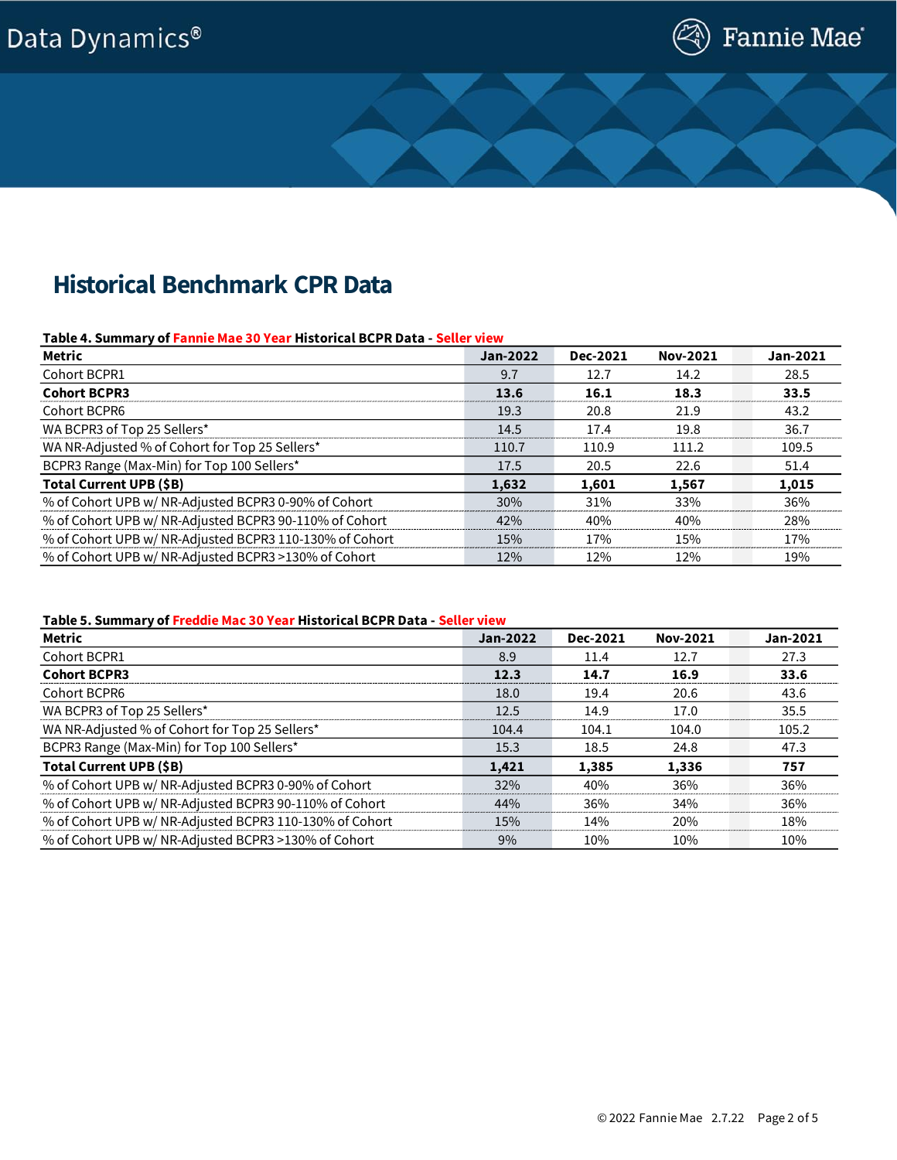## Data Dynamics®



## **Historical Benchmark CPR Data**

### **Table 4. Summary of Fannie Mae 30 Year Historical BCPR Data - Seller view**

| Metric                                                  | Jan-2022 | Dec-2021   | <b>Nov-2021</b> | Jan-2021 |
|---------------------------------------------------------|----------|------------|-----------------|----------|
| Cohort BCPR1                                            | 9.7      | 12.7       | 14.2            | 28.5     |
| <b>Cohort BCPR3</b>                                     | 13.6     | 16.1       | 18.3            | 33.5     |
| Cohort BCPR6                                            | 19.3     | 20.8       | 21.9            | 43.2     |
| WA BCPR3 of Top 25 Sellers*                             | 14.5     | 17.4       | 19.8            | 36.7     |
| WA NR-Adjusted % of Cohort for Top 25 Sellers*          | 110.7    | 110.9      | 111.2           | 109.5    |
| BCPR3 Range (Max-Min) for Top 100 Sellers*              | 17.5     | 20.5       | 22.6            | 51.4     |
| Total Current UPB (\$B)                                 | 1,632    | 1,601      | 1,567           | 1,015    |
| % of Cohort UPB w/ NR-Adjusted BCPR3 0-90% of Cohort    | 30%      | 31%        | 33%             | 36%      |
| % of Cohort UPB w/ NR-Adjusted BCPR3 90-110% of Cohort  | 42%      | 40%        | 40%             | 28%      |
| % of Cohort UPB w/ NR-Adjusted BCPR3 110-130% of Cohort | 15%      | <b>17%</b> | 15%             | 17%      |
| % of Cohort UPB w/ NR-Adjusted BCPR3 >130% of Cohort    | 12%      | 12%        | 12%             | 19%      |

### **Table 5. Summary of Freddie Mac 30 Year Historical BCPR Data - Seller view**

| <b>Metric</b>                                           | Jan-2022 | Dec-2021 | <b>Nov-2021</b> | Jan-2021 |
|---------------------------------------------------------|----------|----------|-----------------|----------|
| Cohort BCPR1                                            | 8.9      | 11.4     | 12.7            | 27.3     |
| <b>Cohort BCPR3</b>                                     | 12.3     | 14.7     | 16.9            | 33.6     |
| Cohort BCPR6                                            | 18.0     | 19.4     | 20.6            | 43.6     |
| WA BCPR3 of Top 25 Sellers*                             | 12.5     | 14.9     | 17.0            | 35.5     |
| WA NR-Adjusted % of Cohort for Top 25 Sellers*          | 104.4    | 104.1    | 104.0           | 105.2    |
| BCPR3 Range (Max-Min) for Top 100 Sellers*              | 15.3     | 18.5     | 24.8            | 47.3     |
| Total Current UPB (\$B)                                 | 1,421    | 1,385    | 1,336           | 757      |
| % of Cohort UPB w/ NR-Adjusted BCPR3 0-90% of Cohort    | 32%      | 40%      | 36%             | 36%      |
| % of Cohort UPB w/ NR-Adjusted BCPR3 90-110% of Cohort  | 44%      | 36%      | 34%             | 36%      |
| % of Cohort UPB w/ NR-Adjusted BCPR3 110-130% of Cohort | 15%      | 14%      | 20%             | 18%      |
| % of Cohort UPB w/ NR-Adjusted BCPR3 >130% of Cohort    | 9%       | 10%      | 10%             | 10%      |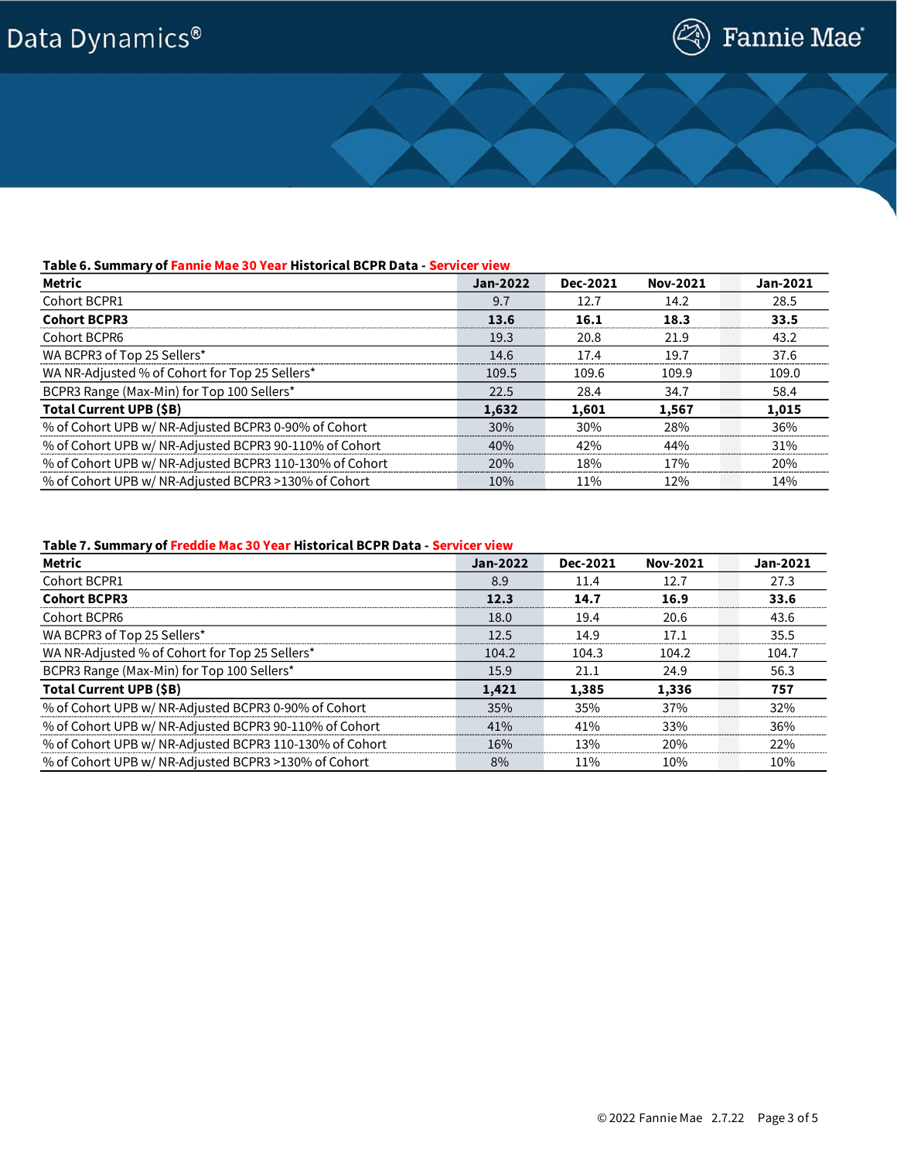## Data Dynamics®



### **Table 6. Summary of Fannie Mae 30 Year Historical BCPR Data - Servicer view**

| Metric                                                  | Jan-2022 | Dec-2021 | Nov-2021   | Jan-2021 |
|---------------------------------------------------------|----------|----------|------------|----------|
| Cohort BCPR1                                            | 9.7      | 12.7     | 14.2       | 28.5     |
| <b>Cohort BCPR3</b>                                     | 13.6     | 16.1     | 18.3       | 33.5     |
| Cohort BCPR6                                            | 19.3     | 20.8     | 21.9       | 43.2     |
| WA BCPR3 of Top 25 Sellers*                             | 14.6     | 17.4     | 19.7       | 37.6     |
| WA NR-Adjusted % of Cohort for Top 25 Sellers*          | 109.5    | 109.6    | 109.9      | 109.0    |
| BCPR3 Range (Max-Min) for Top 100 Sellers*              | 22.5     | 28.4     | 34.7       | 58.4     |
| Total Current UPB (\$B)                                 | 1.632    | 1,601    | 1.567      | 1,015    |
| % of Cohort UPB w/ NR-Adjusted BCPR3 0-90% of Cohort    | 30%      | 30%      | 28%        | 36%      |
| % of Cohort UPB w/ NR-Adjusted BCPR3 90-110% of Cohort  | 40%      | 42%      | 44%        | 31%      |
| % of Cohort UPB w/ NR-Adjusted BCPR3 110-130% of Cohort | 20%      | 18%      | <b>17%</b> | 20%      |
| % of Cohort UPB w/ NR-Adjusted BCPR3 >130% of Cohort    | 10%      | 11%      | 12%        | 14%      |

### **Table 7. Summary of Freddie Mac 30 Year Historical BCPR Data - Servicer view**

| Metric                                                  | Jan-2022 | Dec-2021 | <b>Nov-2021</b> | Jan-2021 |
|---------------------------------------------------------|----------|----------|-----------------|----------|
| Cohort BCPR1                                            | 8.9      | 11.4     | 12.7            | 27.3     |
| <b>Cohort BCPR3</b>                                     | 12.3     | 14.7     | 16.9            | 33.6     |
| Cohort BCPR6                                            | 18.0     | 19.4     | 20.6            | 43.6     |
| WA BCPR3 of Top 25 Sellers*                             | 12.5     | 14.9     | 17.1            | 35.5     |
| WA NR-Adjusted % of Cohort for Top 25 Sellers*          | 104.2    | 104.3    | 104.2           | 104.7    |
| BCPR3 Range (Max-Min) for Top 100 Sellers*              | 15.9     | 21.1     | 24.9            | 56.3     |
| Total Current UPB (\$B)                                 | 1,421    | 1,385    | 1,336           | 757      |
| % of Cohort UPB w/ NR-Adjusted BCPR3 0-90% of Cohort    | 35%      | 35%      | 37%             | 32%      |
| % of Cohort UPB w/ NR-Adjusted BCPR3 90-110% of Cohort  | 41%      | 41%      | 33%             | 36%      |
| % of Cohort UPB w/ NR-Adjusted BCPR3 110-130% of Cohort | 16%      | 13%      | 20%             | 22%      |
| % of Cohort UPB w/ NR-Adjusted BCPR3 >130% of Cohort    | 8%       | 11%      | 10%             | 10%      |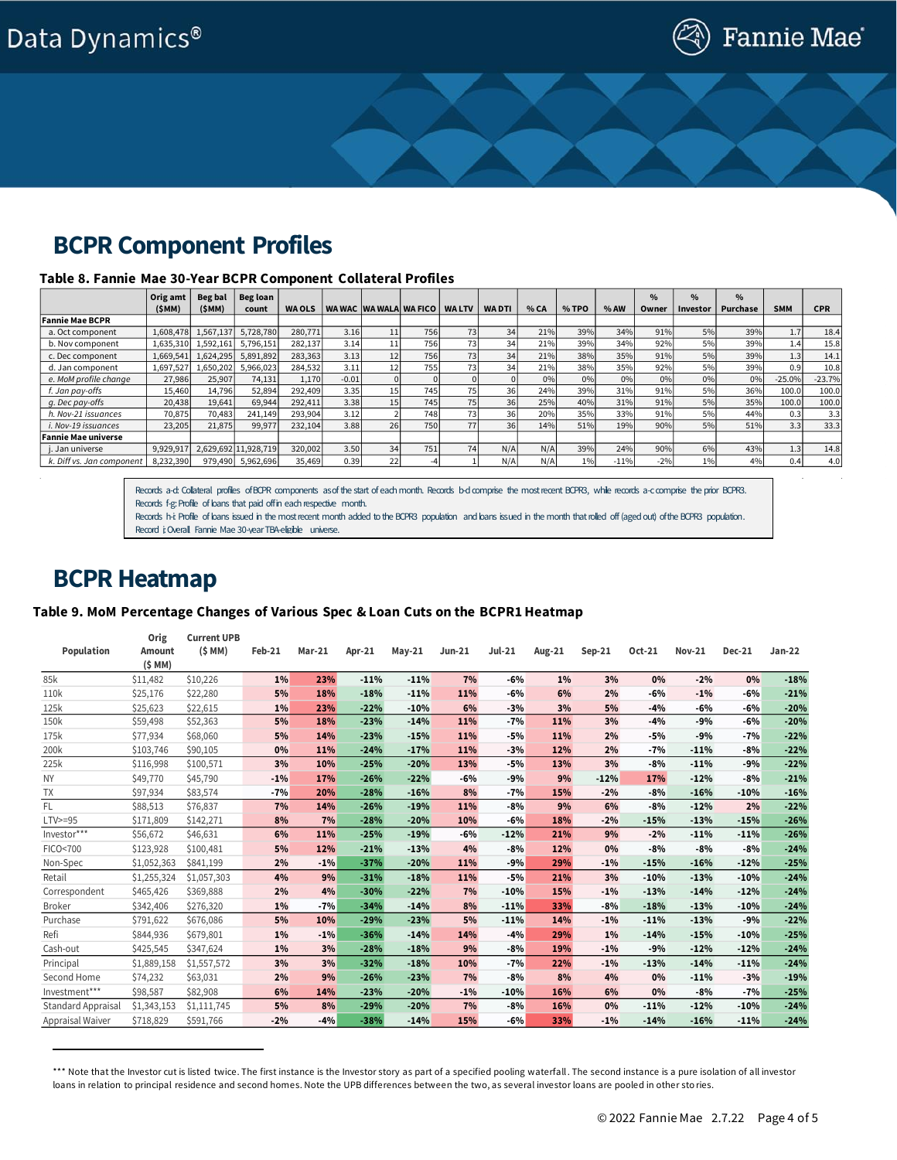### **BCPR Component Profiles**

### **Table 8. Fannie Mae 30-Year BCPR Component Collateral Profiles**

|                            | Orig amt  | Beg bal   | Beg loan             |               |         |    |                        |              |              |      |       |        | $\frac{0}{0}$ | $\frac{0}{0}$ | $\%$     |            |            |
|----------------------------|-----------|-----------|----------------------|---------------|---------|----|------------------------|--------------|--------------|------|-------|--------|---------------|---------------|----------|------------|------------|
|                            | (SMM)     | (SMM)     | count                | <b>WA OLS</b> |         |    | WA WAC WA WALA WA FICO | <b>WALTV</b> | <b>WADTI</b> | % CA | % TPO | % AW   | Owner         | Investor      | Purchase | <b>SMM</b> | <b>CPR</b> |
| <b>Fannie Mae BCPR</b>     |           |           |                      |               |         |    |                        |              |              |      |       |        |               |               |          |            |            |
| a. Oct component           | 1,608,478 | 1,567,137 | 5,728,780            | 280,771       | 3.16    |    | 756                    | 73           | 34           | 21%  | 39%   | 34%    | 91%           | 5%            | 39%      | 1.7        | 18.4       |
| b. Nov component           | 1,635,310 | 1,592,161 | 5,796,151            | 282,137       | 3.14    | 11 | 756                    | 73           | 34           | 21%  | 39%   | 34%    | 92%           | 5%            | 39%      | 1.4        | 15.8       |
| c. Dec component           | 1,669,541 | 1,624,295 | 5,891,892            | 283,363       | 3.13    |    | 756                    | 73           | 34           | 21%  | 38%   | 35%    | 91%           | 5%            | 39%      | 1.3        | 14.1       |
| d. Jan component           | 1,697,527 | 1,650,202 | 5,966,023            | 284,532       | 3.11    |    | 755                    | 73           | 341          | 21%  | 38%   | 35%    | 92%           | 5%            | 39%      | 0.9        | 10.8       |
| e. MoM profile change      | 27,986    | 25.907    | 74.131               | 1,170         | $-0.01$ |    |                        |              |              | 0%   | 0%    | 0%     | 0%            | 0%            | 0%       | $-25.0%$   | $-23.7%$   |
| f. Jan pay-offs            | 15,460    | 14,796    | 52,894               | 292,409       | 3.35    |    | 745                    | 75           | 36           | 24%  | 39%   | 31%    | 91%           | 5%            | 36%      | 100.0      | 100.0      |
| g. Dec pay-offs            | 20,438    | 19,641    | 69,944               | 292,411       | 3.38    | 15 | 745                    | 75           | 36           | 25%  | 40%   | 31%    | 91%           | 5%            | 35%      | 100.0      | 100.0      |
| h. Nov-21 issuances        | 70,875    | 70,483    | 241,149              | 293,904       | 3.12    |    | 748                    | 73           | 36           | 20%  | 35%   | 33%    | 91%           | 5%            | 44%      | 0.3        | 3.3        |
| i. Nov-19 issuances        | 23,205    | 21,875    | 99,977               | 232,104       | 3.88    | 26 | 7501                   | 77           | 36           | 14%  | 51%   | 19%    | 90%           | 5%            | 51%      | 3.3        | 33.3       |
| <b>Fannie Mae universe</b> |           |           |                      |               |         |    |                        |              |              |      |       |        |               |               |          |            |            |
| . Jan universe             | 9,929,917 |           | 2,629,692 11,928,719 | 320,002       | 3.50    | 34 | 751                    | 74           | N/A          | N/A  | 39%   | 24%    | 90%           | 6%            | 43%      | 1.3        | 14.8       |
| k. Diff vs. Jan component  | 8,232,390 | 979,490   | 5,962,696            | 35,469        | 0.39    | 22 |                        |              | N/A          | N/A  | $1\%$ | $-11%$ | $-2%$         | 1%            | 4%       | 0.4        | 4.0        |

Records a-d: Collateral profiles of BCPR components as of the start of each month. Records b-d comprise the most recent BCPR3, while records a-c comprise the prior BCPR3. Records f-g: Profile of loans that paid off in each respective month.

Records h-i: Profile of loans issued in the most recent month added to the BCPR3 population and loans issued in the month that rolled off (aged out) of the BCPR3 population. Record i: Overall Fannie Mae 30-vear TBA-eligible universe.

### **BCPR Heatmap**

### **Table 9. MoM Percentage Changes of Various Spec & Loan Cuts on the BCPR1 Heatmap†**

|                           | Orig          | <b>Current UPB</b> |        |        |        |          |          |               |        |          |        |               |               |          |
|---------------------------|---------------|--------------------|--------|--------|--------|----------|----------|---------------|--------|----------|--------|---------------|---------------|----------|
| Population                | <b>Amount</b> | (SMM)              | Feb-21 | Mar-21 | Apr-21 | $May-21$ | $Jun-21$ | <b>Jul-21</b> | Aug-21 | $Sep-21$ | Oct-21 | <b>Nov-21</b> | <b>Dec-21</b> | $Jan-22$ |
|                           | $(5$ MM $)$   |                    |        |        |        |          |          |               |        |          |        |               |               |          |
| 85k                       | \$11,482      | \$10,226           | $1\%$  | 23%    | $-11%$ | $-11%$   | 7%       | $-6%$         | $1\%$  | 3%       | 0%     | $-2%$         | 0%            | $-18%$   |
| 110k                      | \$25,176      | \$22,280           | 5%     | 18%    | $-18%$ | $-11%$   | 11%      | $-6%$         | 6%     | 2%       | $-6%$  | $-1%$         | $-6%$         | $-21%$   |
| 125k                      | \$25,623      | \$22,615           | 1%     | 23%    | $-22%$ | $-10%$   | 6%       | $-3%$         | 3%     | 5%       | $-4%$  | $-6%$         | $-6%$         | $-20%$   |
| 150k                      | \$59,498      | \$52,363           | 5%     | 18%    | $-23%$ | $-14%$   | 11%      | $-7%$         | 11%    | 3%       | $-4%$  | $-9%$         | $-6%$         | $-20%$   |
| 175k                      | \$77.934      | \$68,060           | 5%     | 14%    | $-23%$ | $-15%$   | 11%      | $-5%$         | 11%    | 2%       | $-5%$  | $-9%$         | $-7%$         | $-22%$   |
| 200k                      | \$103,746     | \$90,105           | 0%     | 11%    | $-24%$ | $-17%$   | 11%      | $-3%$         | 12%    | 2%       | $-7%$  | $-11%$        | $-8%$         | $-22%$   |
| 225k                      | \$116,998     | \$100,571          | 3%     | 10%    | $-25%$ | $-20%$   | 13%      | $-5%$         | 13%    | 3%       | $-8%$  | $-11%$        | $-9%$         | $-22%$   |
| <b>NY</b>                 | \$49,770      | \$45,790           | $-1%$  | 17%    | $-26%$ | $-22%$   | $-6%$    | $-9%$         | 9%     | $-12%$   | 17%    | $-12%$        | $-8%$         | $-21%$   |
| <b>TX</b>                 | \$97,934      | \$83,574           | $-7%$  | 20%    | $-28%$ | $-16%$   | 8%       | $-7%$         | 15%    | $-2%$    | $-8%$  | $-16%$        | $-10%$        | $-16%$   |
| FL                        | \$88,513      | \$76,837           | 7%     | 14%    | $-26%$ | $-19%$   | 11%      | $-8%$         | 9%     | 6%       | $-8%$  | $-12%$        | 2%            | $-22%$   |
| $LTV>=95$                 | \$171,809     | \$142,271          | 8%     | 7%     | $-28%$ | $-20%$   | 10%      | -6%           | 18%    | $-2%$    | $-15%$ | $-13%$        | $-15%$        | $-26%$   |
| $\mathsf{Investor^{***}}$ | \$56,672      | \$46,631           | 6%     | 11%    | $-25%$ | $-19%$   | $-6%$    | $-12%$        | 21%    | 9%       | $-2%$  | $-11%$        | $-11%$        | $-26%$   |
| FICO<700                  | \$123,928     | \$100,481          | 5%     | 12%    | $-21%$ | $-13%$   | 4%       | $-8%$         | 12%    | 0%       | $-8%$  | $-8%$         | $-8%$         | $-24%$   |
| Non-Spec                  | \$1,052,363   | \$841.199          | 2%     | $-1%$  | $-37%$ | $-20%$   | 11%      | $-9%$         | 29%    | $-1%$    | $-15%$ | $-16%$        | $-12%$        | $-25%$   |
| Retail                    | \$1,255,324   | \$1,057,303        | 4%     | 9%     | $-31%$ | $-18%$   | 11%      | $-5%$         | 21%    | 3%       | $-10%$ | $-13%$        | $-10%$        | $-24%$   |
| Correspondent             | \$465,426     | \$369,888          | 2%     | 4%     | $-30%$ | $-22%$   | 7%       | $-10%$        | 15%    | $-1%$    | $-13%$ | $-14%$        | $-12%$        | $-24%$   |
| <b>Broker</b>             | \$342,406     | \$276,320          | 1%     | $-7%$  | $-34%$ | $-14%$   | 8%       | $-11%$        | 33%    | $-8%$    | $-18%$ | $-13%$        | $-10%$        | $-24%$   |
| Purchase                  | \$791,622     | \$676,086          | 5%     | 10%    | $-29%$ | $-23%$   | 5%       | $-11%$        | 14%    | $-1%$    | $-11%$ | $-13%$        | $-9%$         | $-22%$   |
| Refi                      | \$844,936     | \$679,801          | $1\%$  | $-1%$  | $-36%$ | $-14%$   | 14%      | $-4%$         | 29%    | 1%       | $-14%$ | $-15%$        | $-10%$        | $-25%$   |
| Cash-out                  | \$425,545     | \$347,624          | 1%     | 3%     | $-28%$ | $-18%$   | 9%       | $-8%$         | 19%    | $-1%$    | $-9%$  | $-12%$        | $-12%$        | $-24%$   |
| Principal                 | \$1,889,158   | \$1,557,572        | 3%     | 3%     | $-32%$ | $-18%$   | 10%      | $-7%$         | 22%    | $-1%$    | $-13%$ | $-14%$        | $-11%$        | $-24%$   |
| Second Home               | \$74,232      | \$63,031           | 2%     | 9%     | $-26%$ | $-23%$   | 7%       | $-8%$         | 8%     | 4%       | 0%     | $-11%$        | $-3%$         | $-19%$   |
| Investment***             | \$98,587      | \$82,908           | 6%     | 14%    | $-23%$ | $-20%$   | $-1%$    | $-10%$        | 16%    | 6%       | 0%     | $-8%$         | $-7%$         | $-25%$   |
| <b>Standard Appraisal</b> | \$1,343,153   | \$1,111,745        | 5%     | 8%     | $-29%$ | $-20%$   | 7%       | $-8%$         | 16%    | 0%       | $-11%$ | $-12%$        | $-10%$        | $-24%$   |
| Appraisal Waiver          | \$718,829     | \$591,766          | $-2%$  | $-4%$  | $-38%$ | $-14%$   | 15%      | -6%           | 33%    | $-1%$    | $-14%$ | $-16%$        | $-11%$        | $-24%$   |

<sup>\*\*\*</sup> Note that the Investor cut is listed twice. The first instance is the Investor story as part of a specified pooling waterfall. The second instance is a pure isolation of all investor loans in relation to principal residence and second homes. Note the UPB differences between the two, as several investor loans are pooled in other sto ries.